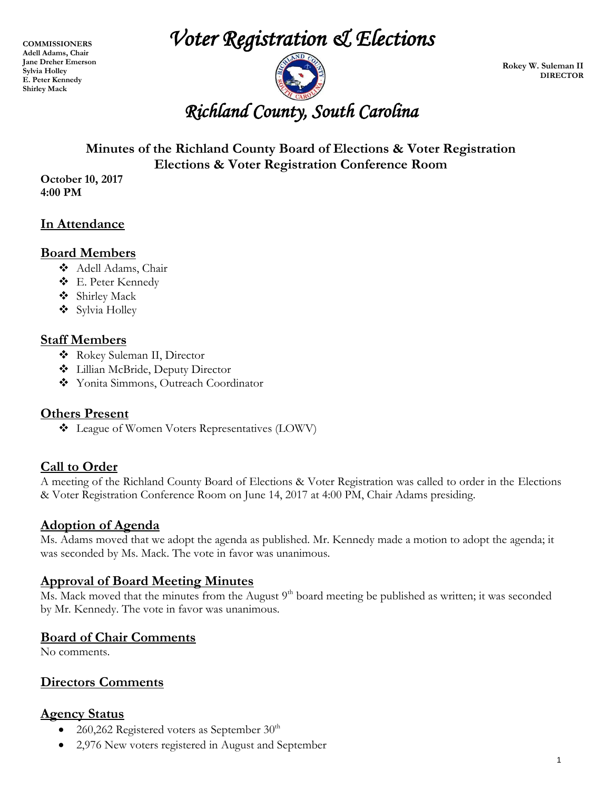**COMMISSIONERS Adell Adams, Chair Jane Dreher Emerson Sylvia Holley E. Peter Kennedy Shirley Mack** 

*Voter Registration & Elections* 



**Rokey W. Suleman II DIRECTOR**

### **Minutes of the Richland County Board of Elections & Voter Registration Elections & Voter Registration Conference Room**

**October 10, 2017 4:00 PM**

### **In Attendance**

#### **Board Members**

- Adell Adams, Chair
- E. Peter Kennedy
- Shirley Mack
- Sylvia Holley

#### **Staff Members**

- Rokey Suleman II, Director
- Lillian McBride, Deputy Director
- Yonita Simmons, Outreach Coordinator

#### **Others Present**

 $\triangleleft$  League of Women Voters Representatives (LOWV)

#### **Call to Order**

A meeting of the Richland County Board of Elections & Voter Registration was called to order in the Elections & Voter Registration Conference Room on June 14, 2017 at 4:00 PM, Chair Adams presiding.

#### **Adoption of Agenda**

Ms. Adams moved that we adopt the agenda as published. Mr. Kennedy made a motion to adopt the agenda; it was seconded by Ms. Mack. The vote in favor was unanimous.

#### **Approval of Board Meeting Minutes**

Ms. Mack moved that the minutes from the August  $9<sup>th</sup>$  board meeting be published as written; it was seconded by Mr. Kennedy. The vote in favor was unanimous.

#### **Board of Chair Comments**

No comments.

#### **Directors Comments**

#### **Agency Status**

- 260,262 Registered voters as September  $30<sup>th</sup>$
- 2,976 New voters registered in August and September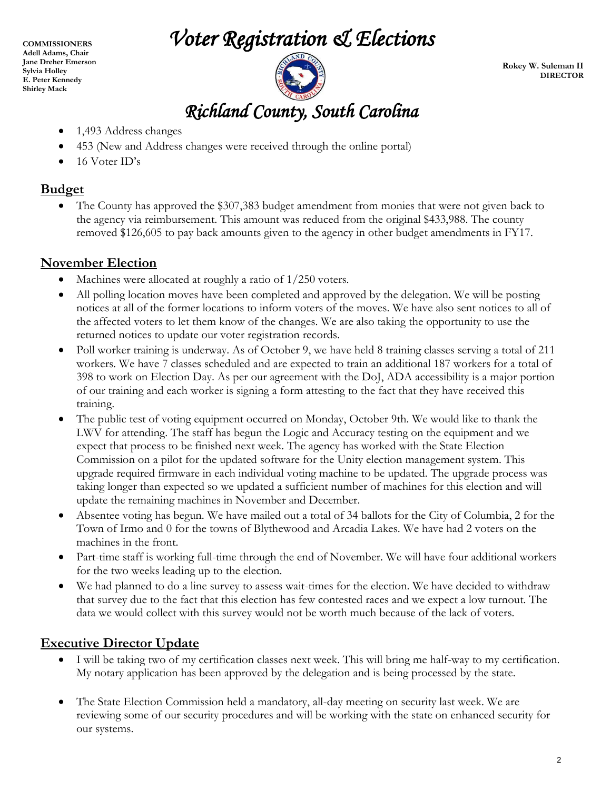## *Voter Registration & Elections*

**COMMISSIONERS Adell Adams, Chair Jane Dreher Emerson Sylvia Holley E. Peter Kennedy Shirley Mack** 

*Richland County, South Carolina* 

**Rokey W. Suleman II DIRECTOR**

- 1,493 Address changes
- 453 (New and Address changes were received through the online portal)
- $\bullet$  16 Voter ID's

#### **Budget**

• The County has approved the \$307,383 budget amendment from monies that were not given back to the agency via reimbursement. This amount was reduced from the original \$433,988. The county removed \$126,605 to pay back amounts given to the agency in other budget amendments in FY17.

#### **November Election**

- Machines were allocated at roughly a ratio of  $1/250$  voters.
- All polling location moves have been completed and approved by the delegation. We will be posting notices at all of the former locations to inform voters of the moves. We have also sent notices to all of the affected voters to let them know of the changes. We are also taking the opportunity to use the returned notices to update our voter registration records.
- Poll worker training is underway. As of October 9, we have held 8 training classes serving a total of 211 workers. We have 7 classes scheduled and are expected to train an additional 187 workers for a total of 398 to work on Election Day. As per our agreement with the DoJ, ADA accessibility is a major portion of our training and each worker is signing a form attesting to the fact that they have received this training.
- The public test of voting equipment occurred on Monday, October 9th. We would like to thank the LWV for attending. The staff has begun the Logic and Accuracy testing on the equipment and we expect that process to be finished next week. The agency has worked with the State Election Commission on a pilot for the updated software for the Unity election management system. This upgrade required firmware in each individual voting machine to be updated. The upgrade process was taking longer than expected so we updated a sufficient number of machines for this election and will update the remaining machines in November and December.
- Absentee voting has begun. We have mailed out a total of 34 ballots for the City of Columbia, 2 for the Town of Irmo and 0 for the towns of Blythewood and Arcadia Lakes. We have had 2 voters on the machines in the front.
- Part-time staff is working full-time through the end of November. We will have four additional workers for the two weeks leading up to the election.
- We had planned to do a line survey to assess wait-times for the election. We have decided to withdraw that survey due to the fact that this election has few contested races and we expect a low turnout. The data we would collect with this survey would not be worth much because of the lack of voters.

#### **Executive Director Update**

- I will be taking two of my certification classes next week. This will bring me half-way to my certification. My notary application has been approved by the delegation and is being processed by the state.
- The State Election Commission held a mandatory, all-day meeting on security last week. We are reviewing some of our security procedures and will be working with the state on enhanced security for our systems.